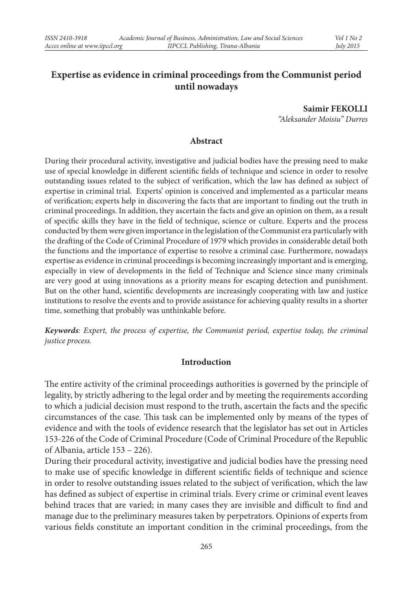# **Expertise as evidence in criminal proceedings from the Communist period until nowadays**

**Saimir FEKOLLI** *"Aleksander Moisiu" Durres*

#### **Abstract**

During their procedural activity, investigative and judicial bodies have the pressing need to make use of special knowledge in different scientific fields of technique and science in order to resolve outstanding issues related to the subject of verification, which the law has defined as subject of expertise in criminal trial. Experts' opinion is conceived and implemented as a particular means of verification; experts help in discovering the facts that are important to finding out the truth in criminal proceedings. In addition, they ascertain the facts and give an opinion on them, as a result of specific skills they have in the field of technique, science or culture. Experts and the process conducted by them were given importance in the legislation of the Communist era particularly with the drafting of the Code of Criminal Procedure of 1979 which provides in considerable detail both the functions and the importance of expertise to resolve a criminal case. Furthermore, nowadays expertise as evidence in criminal proceedings is becoming increasingly important and is emerging, especially in view of developments in the field of Technique and Science since many criminals are very good at using innovations as a priority means for escaping detection and punishment. But on the other hand, scientific developments are increasingly cooperating with law and justice institutions to resolve the events and to provide assistance for achieving quality results in a shorter time, something that probably was unthinkable before.

*Keywords: Expert, the process of expertise, the Communist period, expertise today, the criminal justice process.*

#### **Introduction**

The entire activity of the criminal proceedings authorities is governed by the principle of legality, by strictly adhering to the legal order and by meeting the requirements according to which a judicial decision must respond to the truth, ascertain the facts and the specific circumstances of the case. This task can be implemented only by means of the types of evidence and with the tools of evidence research that the legislator has set out in Articles 153-226 of the Code of Criminal Procedure (Code of Criminal Procedure of the Republic of Albania, article 153 – 226).

During their procedural activity, investigative and judicial bodies have the pressing need to make use of specific knowledge in different scientific fields of technique and science in order to resolve outstanding issues related to the subject of verification, which the law has defined as subject of expertise in criminal trials. Every crime or criminal event leaves behind traces that are varied; in many cases they are invisible and difficult to find and manage due to the preliminary measures taken by perpetrators. Opinions of experts from various fields constitute an important condition in the criminal proceedings, from the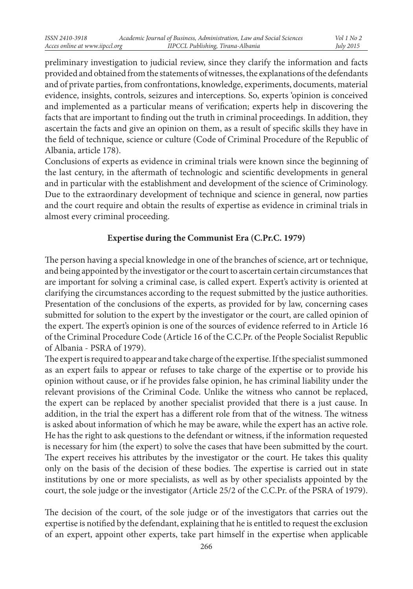preliminary investigation to judicial review, since they clarify the information and facts provided and obtained from the statements of witnesses, the explanations of the defendants and of private parties, from confrontations, knowledge, experiments, documents, material evidence, insights, controls, seizures and interceptions. So, experts 'opinion is conceived and implemented as a particular means of verification; experts help in discovering the facts that are important to finding out the truth in criminal proceedings. In addition, they ascertain the facts and give an opinion on them, as a result of specific skills they have in the field of technique, science or culture (Code of Criminal Procedure of the Republic of Albania, article 178).

Conclusions of experts as evidence in criminal trials were known since the beginning of the last century, in the aftermath of technologic and scientific developments in general and in particular with the establishment and development of the science of Criminology. Due to the extraordinary development of technique and science in general, now parties and the court require and obtain the results of expertise as evidence in criminal trials in almost every criminal proceeding.

# **Expertise during the Communist Era (C.Pr.C. 1979)**

The person having a special knowledge in one of the branches of science, art or technique, and being appointed by the investigator or the court to ascertain certain circumstances that are important for solving a criminal case, is called expert. Expert's activity is oriented at clarifying the circumstances according to the request submitted by the justice authorities. Presentation of the conclusions of the experts, as provided for by law, concerning cases submitted for solution to the expert by the investigator or the court, are called opinion of the expert. The expert's opinion is one of the sources of evidence referred to in Article 16 of the Criminal Procedure Code (Article 16 of the C.C.Pr. of the People Socialist Republic of Albania - PSRA of 1979).

The expert is required to appear and take charge of the expertise. If the specialist summoned as an expert fails to appear or refuses to take charge of the expertise or to provide his opinion without cause, or if he provides false opinion, he has criminal liability under the relevant provisions of the Criminal Code. Unlike the witness who cannot be replaced, the expert can be replaced by another specialist provided that there is a just cause. In addition, in the trial the expert has a different role from that of the witness. The witness is asked about information of which he may be aware, while the expert has an active role. He has the right to ask questions to the defendant or witness, if the information requested is necessary for him (the expert) to solve the cases that have been submitted by the court. The expert receives his attributes by the investigator or the court. He takes this quality only on the basis of the decision of these bodies. The expertise is carried out in state institutions by one or more specialists, as well as by other specialists appointed by the court, the sole judge or the investigator (Article 25/2 of the C.C.Pr. of the PSRA of 1979).

The decision of the court, of the sole judge or of the investigators that carries out the expertise is notified by the defendant, explaining that he is entitled to request the exclusion of an expert, appoint other experts, take part himself in the expertise when applicable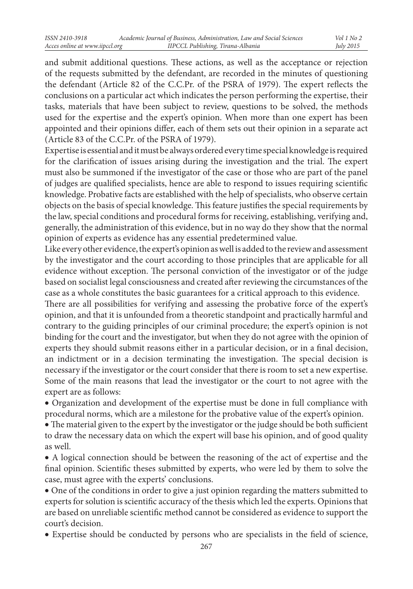and submit additional questions. These actions, as well as the acceptance or rejection of the requests submitted by the defendant, are recorded in the minutes of questioning the defendant (Article 82 of the C.C.Pr. of the PSRA of 1979). The expert reflects the conclusions on a particular act which indicates the person performing the expertise, their tasks, materials that have been subject to review, questions to be solved, the methods used for the expertise and the expert's opinion. When more than one expert has been appointed and their opinions differ, each of them sets out their opinion in a separate act (Article 83 of the C.C.Pr. of the PSRA of 1979).

Expertise is essential and it must be always ordered every time special knowledge is required for the clarification of issues arising during the investigation and the trial. The expert must also be summoned if the investigator of the case or those who are part of the panel of judges are qualified specialists, hence are able to respond to issues requiring scientific knowledge. Probative facts are established with the help of specialists, who observe certain objects on the basis of special knowledge. This feature justifies the special requirements by the law, special conditions and procedural forms for receiving, establishing, verifying and, generally, the administration of this evidence, but in no way do they show that the normal opinion of experts as evidence has any essential predetermined value.

Like every other evidence, the expert's opinion as well is added to the review and assessment by the investigator and the court according to those principles that are applicable for all evidence without exception. The personal conviction of the investigator or of the judge based on socialist legal consciousness and created after reviewing the circumstances of the case as a whole constitutes the basic guarantees for a critical approach to this evidence.

There are all possibilities for verifying and assessing the probative force of the expert's opinion, and that it is unfounded from a theoretic standpoint and practically harmful and contrary to the guiding principles of our criminal procedure; the expert's opinion is not binding for the court and the investigator, but when they do not agree with the opinion of experts they should submit reasons either in a particular decision, or in a final decision, an indictment or in a decision terminating the investigation. The special decision is necessary if the investigator or the court consider that there is room to set a new expertise. Some of the main reasons that lead the investigator or the court to not agree with the expert are as follows:

• Organization and development of the expertise must be done in full compliance with procedural norms, which are a milestone for the probative value of the expert's opinion.

• The material given to the expert by the investigator or the judge should be both sufficient to draw the necessary data on which the expert will base his opinion, and of good quality as well.

• A logical connection should be between the reasoning of the act of expertise and the final opinion. Scientific theses submitted by experts, who were led by them to solve the case, must agree with the experts' conclusions.

• One of the conditions in order to give a just opinion regarding the matters submitted to experts for solution is scientific accuracy of the thesis which led the experts. Opinions that are based on unreliable scientific method cannot be considered as evidence to support the court's decision.

• Expertise should be conducted by persons who are specialists in the field of science,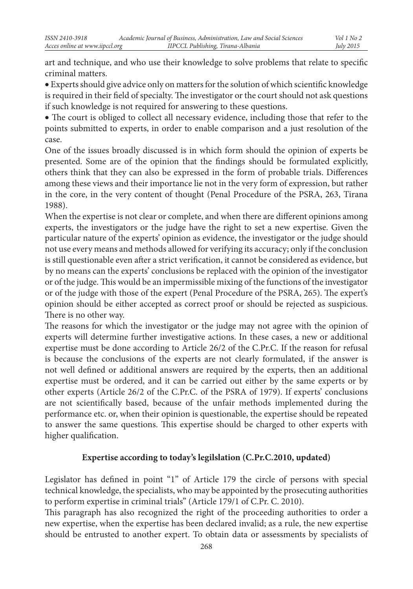art and technique, and who use their knowledge to solve problems that relate to specific criminal matters.

• Experts should give advice only on matters for the solution of which scientific knowledge is required in their field of specialty. The investigator or the court should not ask questions if such knowledge is not required for answering to these questions.

• The court is obliged to collect all necessary evidence, including those that refer to the points submitted to experts, in order to enable comparison and a just resolution of the case.

One of the issues broadly discussed is in which form should the opinion of experts be presented. Some are of the opinion that the findings should be formulated explicitly, others think that they can also be expressed in the form of probable trials. Differences among these views and their importance lie not in the very form of expression, but rather in the core, in the very content of thought (Penal Procedure of the PSRA, 263, Tirana 1988).

When the expertise is not clear or complete, and when there are different opinions among experts, the investigators or the judge have the right to set a new expertise. Given the particular nature of the experts' opinion as evidence, the investigator or the judge should not use every means and methods allowed for verifying its accuracy; only if the conclusion is still questionable even after a strict verification, it cannot be considered as evidence, but by no means can the experts' conclusions be replaced with the opinion of the investigator or of the judge. This would be an impermissible mixing of the functions of the investigator or of the judge with those of the expert (Penal Procedure of the PSRA, 265). The expert's opinion should be either accepted as correct proof or should be rejected as suspicious. There is no other way.

The reasons for which the investigator or the judge may not agree with the opinion of experts will determine further investigative actions. In these cases, a new or additional expertise must be done according to Article 26/2 of the C.Pr.C. If the reason for refusal is because the conclusions of the experts are not clearly formulated, if the answer is not well defined or additional answers are required by the experts, then an additional expertise must be ordered, and it can be carried out either by the same experts or by other experts (Article 26/2 of the C.Pr.C. of the PSRA of 1979). If experts' conclusions are not scientifically based, because of the unfair methods implemented during the performance etc. or, when their opinion is questionable, the expertise should be repeated to answer the same questions. This expertise should be charged to other experts with higher qualification.

# **Expertise according to today's legilslation (C.Pr.C.2010, updated)**

Legislator has defined in point "1" of Article 179 the circle of persons with special technical knowledge, the specialists, who may be appointed by the prosecuting authorities to perform expertise in criminal trials" (Article 179/1 of C.Pr. C. 2010).

This paragraph has also recognized the right of the proceeding authorities to order a new expertise, when the expertise has been declared invalid; as a rule, the new expertise should be entrusted to another expert. To obtain data or assessments by specialists of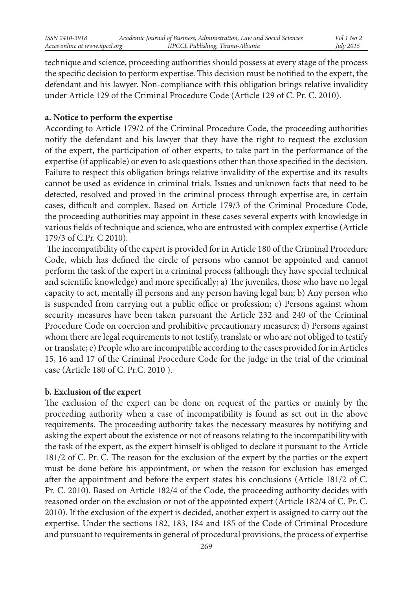technique and science, proceeding authorities should possess at every stage of the process the specific decision to perform expertise. This decision must be notified to the expert, the defendant and his lawyer. Non-compliance with this obligation brings relative invalidity under Article 129 of the Criminal Procedure Code (Article 129 of C. Pr. C. 2010).

### **a. Notice to perform the expertise**

According to Article 179/2 of the Criminal Procedure Code, the proceeding authorities notify the defendant and his lawyer that they have the right to request the exclusion of the expert, the participation of other experts, to take part in the performance of the expertise (if applicable) or even to ask questions other than those specified in the decision. Failure to respect this obligation brings relative invalidity of the expertise and its results cannot be used as evidence in criminal trials. Issues and unknown facts that need to be detected, resolved and proved in the criminal process through expertise are, in certain cases, difficult and complex. Based on Article 179/3 of the Criminal Procedure Code, the proceeding authorities may appoint in these cases several experts with knowledge in various fields of technique and science, who are entrusted with complex expertise (Article 179/3 of C.Pr. C 2010).

 The incompatibility of the expert is provided for in Article 180 of the Criminal Procedure Code, which has defined the circle of persons who cannot be appointed and cannot perform the task of the expert in a criminal process (although they have special technical and scientific knowledge) and more specifically; a) The juveniles, those who have no legal capacity to act, mentally ill persons and any person having legal ban; b) Any person who is suspended from carrying out a public office or profession; c) Persons against whom security measures have been taken pursuant the Article 232 and 240 of the Criminal Procedure Code on coercion and prohibitive precautionary measures; d) Persons against whom there are legal requirements to not testify, translate or who are not obliged to testify or translate; e) People who are incompatible according to the cases provided for in Articles 15, 16 and 17 of the Criminal Procedure Code for the judge in the trial of the criminal case (Article 180 of C. Pr.C. 2010 ).

### **b. Exclusion of the expert**

The exclusion of the expert can be done on request of the parties or mainly by the proceeding authority when a case of incompatibility is found as set out in the above requirements. The proceeding authority takes the necessary measures by notifying and asking the expert about the existence or not of reasons relating to the incompatibility with the task of the expert, as the expert himself is obliged to declare it pursuant to the Article 181/2 of C. Pr. C. The reason for the exclusion of the expert by the parties or the expert must be done before his appointment, or when the reason for exclusion has emerged after the appointment and before the expert states his conclusions (Article 181/2 of C. Pr. C. 2010). Based on Article 182/4 of the Code, the proceeding authority decides with reasoned order on the exclusion or not of the appointed expert (Article 182/4 of C. Pr. C. 2010). If the exclusion of the expert is decided, another expert is assigned to carry out the expertise. Under the sections 182, 183, 184 and 185 of the Code of Criminal Procedure and pursuant to requirements in general of procedural provisions, the process of expertise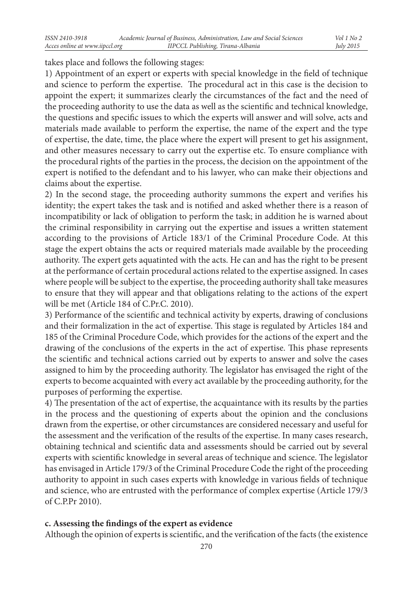takes place and follows the following stages:

1) Appointment of an expert or experts with special knowledge in the field of technique and science to perform the expertise. The procedural act in this case is the decision to appoint the expert; it summarizes clearly the circumstances of the fact and the need of the proceeding authority to use the data as well as the scientific and technical knowledge, the questions and specific issues to which the experts will answer and will solve, acts and materials made available to perform the expertise, the name of the expert and the type of expertise, the date, time, the place where the expert will present to get his assignment, and other measures necessary to carry out the expertise etc. To ensure compliance with the procedural rights of the parties in the process, the decision on the appointment of the expert is notified to the defendant and to his lawyer, who can make their objections and claims about the expertise.

2) In the second stage, the proceeding authority summons the expert and verifies his identity; the expert takes the task and is notified and asked whether there is a reason of incompatibility or lack of obligation to perform the task; in addition he is warned about the criminal responsibility in carrying out the expertise and issues a written statement according to the provisions of Article 183/1 of the Criminal Procedure Code. At this stage the expert obtains the acts or required materials made available by the proceeding authority. The expert gets aquatinted with the acts. He can and has the right to be present at the performance of certain procedural actions related to the expertise assigned. In cases where people will be subject to the expertise, the proceeding authority shall take measures to ensure that they will appear and that obligations relating to the actions of the expert will be met (Article 184 of C.Pr.C. 2010).

3) Performance of the scientific and technical activity by experts, drawing of conclusions and their formalization in the act of expertise. This stage is regulated by Articles 184 and 185 of the Criminal Procedure Code, which provides for the actions of the expert and the drawing of the conclusions of the experts in the act of expertise. This phase represents the scientific and technical actions carried out by experts to answer and solve the cases assigned to him by the proceeding authority. The legislator has envisaged the right of the experts to become acquainted with every act available by the proceeding authority, for the purposes of performing the expertise.

4) The presentation of the act of expertise, the acquaintance with its results by the parties in the process and the questioning of experts about the opinion and the conclusions drawn from the expertise, or other circumstances are considered necessary and useful for the assessment and the verification of the results of the expertise. In many cases research, obtaining technical and scientific data and assessments should be carried out by several experts with scientific knowledge in several areas of technique and science. The legislator has envisaged in Article 179/3 of the Criminal Procedure Code the right of the proceeding authority to appoint in such cases experts with knowledge in various fields of technique and science, who are entrusted with the performance of complex expertise (Article 179/3 of C.P.Pr 2010).

# **c. Assessing the findings of the expert as evidence**

Although the opinion of experts is scientific, and the verification of the facts (the existence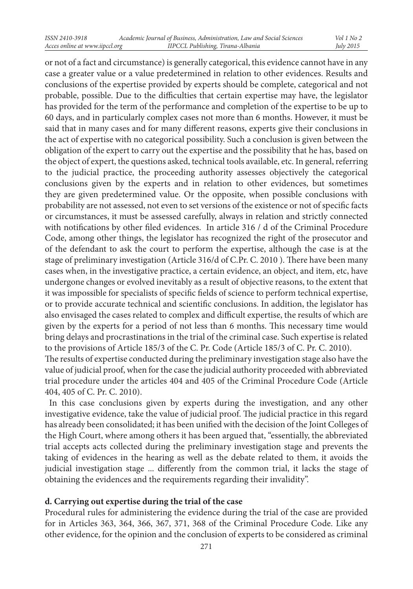or not of a fact and circumstance) is generally categorical, this evidence cannot have in any case a greater value or a value predetermined in relation to other evidences. Results and conclusions of the expertise provided by experts should be complete, categorical and not probable, possible. Due to the difficulties that certain expertise may have, the legislator has provided for the term of the performance and completion of the expertise to be up to 60 days, and in particularly complex cases not more than 6 months. However, it must be said that in many cases and for many different reasons, experts give their conclusions in the act of expertise with no categorical possibility. Such a conclusion is given between the obligation of the expert to carry out the expertise and the possibility that he has, based on the object of expert, the questions asked, technical tools available, etc. In general, referring to the judicial practice, the proceeding authority assesses objectively the categorical conclusions given by the experts and in relation to other evidences, but sometimes they are given predetermined value. Or the opposite, when possible conclusions with probability are not assessed, not even to set versions of the existence or not of specific facts or circumstances, it must be assessed carefully, always in relation and strictly connected with notifications by other filed evidences. In article 316 / d of the Criminal Procedure Code, among other things, the legislator has recognized the right of the prosecutor and of the defendant to ask the court to perform the expertise, although the case is at the stage of preliminary investigation (Article 316/d of C.Pr. C. 2010 ). There have been many cases when, in the investigative practice, a certain evidence, an object, and item, etc, have undergone changes or evolved inevitably as a result of objective reasons, to the extent that it was impossible for specialists of specific fields of science to perform technical expertise, or to provide accurate technical and scientific conclusions. In addition, the legislator has also envisaged the cases related to complex and difficult expertise, the results of which are given by the experts for a period of not less than 6 months. This necessary time would bring delays and procrastinations in the trial of the criminal case. Such expertise is related to the provisions of Article 185/3 of the C. Pr. Code (Article 185/3 of C. Pr. C. 2010). The results of expertise conducted during the preliminary investigation stage also have the value of judicial proof, when for the case the judicial authority proceeded with abbreviated trial procedure under the articles 404 and 405 of the Criminal Procedure Code (Article

404, 405 of C. Pr. C. 2010).

 In this case conclusions given by experts during the investigation, and any other investigative evidence, take the value of judicial proof. The judicial practice in this regard has already been consolidated; it has been unified with the decision of the Joint Colleges of the High Court, where among others it has been argued that, "essentially, the abbreviated trial accepts acts collected during the preliminary investigation stage and prevents the taking of evidences in the hearing as well as the debate related to them, it avoids the judicial investigation stage ... differently from the common trial, it lacks the stage of obtaining the evidences and the requirements regarding their invalidity".

# **d. Carrying out expertise during the trial of the case**

Procedural rules for administering the evidence during the trial of the case are provided for in Articles 363, 364, 366, 367, 371, 368 of the Criminal Procedure Code. Like any other evidence, for the opinion and the conclusion of experts to be considered as criminal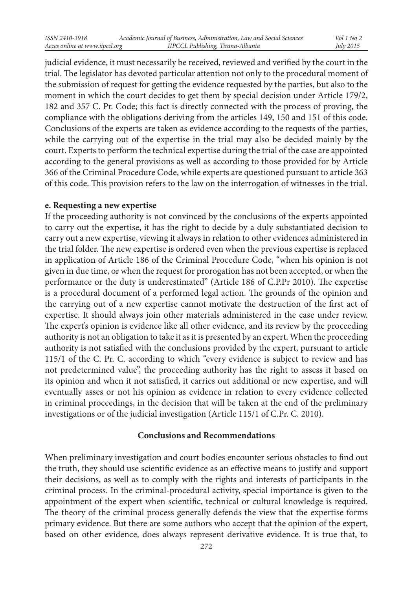judicial evidence, it must necessarily be received, reviewed and verified by the court in the trial. The legislator has devoted particular attention not only to the procedural moment of the submission of request for getting the evidence requested by the parties, but also to the moment in which the court decides to get them by special decision under Article 179/2, 182 and 357 C. Pr. Code; this fact is directly connected with the process of proving, the compliance with the obligations deriving from the articles 149, 150 and 151 of this code. Conclusions of the experts are taken as evidence according to the requests of the parties, while the carrying out of the expertise in the trial may also be decided mainly by the court. Experts to perform the technical expertise during the trial of the case are appointed according to the general provisions as well as according to those provided for by Article 366 of the Criminal Procedure Code, while experts are questioned pursuant to article 363 of this code. This provision refers to the law on the interrogation of witnesses in the trial.

### **e. Requesting a new expertise**

If the proceeding authority is not convinced by the conclusions of the experts appointed to carry out the expertise, it has the right to decide by a duly substantiated decision to carry out a new expertise, viewing it always in relation to other evidences administered in the trial folder. The new expertise is ordered even when the previous expertise is replaced in application of Article 186 of the Criminal Procedure Code, "when his opinion is not given in due time, or when the request for prorogation has not been accepted, or when the performance or the duty is underestimated" (Article 186 of C.P.Pr 2010). The expertise is a procedural document of a performed legal action. The grounds of the opinion and the carrying out of a new expertise cannot motivate the destruction of the first act of expertise. It should always join other materials administered in the case under review. The expert's opinion is evidence like all other evidence, and its review by the proceeding authority is not an obligation to take it as it is presented by an expert. When the proceeding authority is not satisfied with the conclusions provided by the expert, pursuant to article 115/1 of the C. Pr. C. according to which "every evidence is subject to review and has not predetermined value", the proceeding authority has the right to assess it based on its opinion and when it not satisfied, it carries out additional or new expertise, and will eventually asses or not his opinion as evidence in relation to every evidence collected in criminal proceedings, in the decision that will be taken at the end of the preliminary investigations or of the judicial investigation (Article 115/1 of C.Pr. C. 2010).

#### **Conclusions and Recommendations**

When preliminary investigation and court bodies encounter serious obstacles to find out the truth, they should use scientific evidence as an effective means to justify and support their decisions, as well as to comply with the rights and interests of participants in the criminal process. In the criminal-procedural activity, special importance is given to the appointment of the expert when scientific, technical or cultural knowledge is required. The theory of the criminal process generally defends the view that the expertise forms primary evidence. But there are some authors who accept that the opinion of the expert, based on other evidence, does always represent derivative evidence. It is true that, to